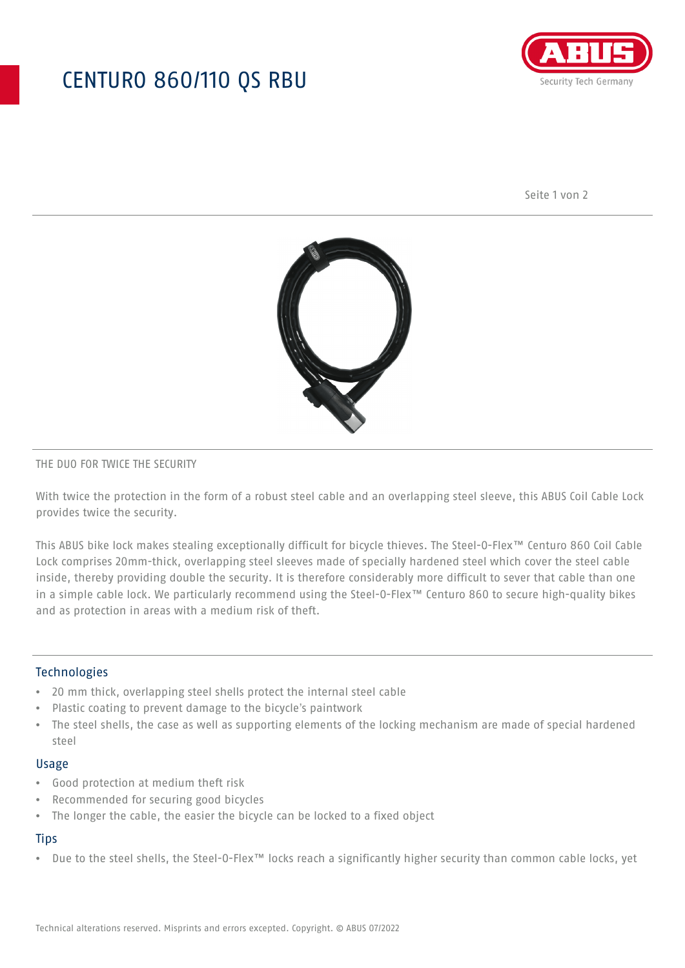## CENTURO 860/110 QS RBU



Seite 1 von 2



#### THE DUO FOR TWICE THE SECURITY

With twice the protection in the form of a robust steel cable and an overlapping steel sleeve, this ABUS Coil Cable Lock provides twice the security.

This ABUS bike lock makes stealing exceptionally difficult for bicycle thieves. The Steel-O-Flex™ Centuro 860 Coil Cable Lock comprises 20mm-thick, overlapping steel sleeves made of specially hardened steel which cover the steel cable inside, thereby providing double the security. It is therefore considerably more difficult to sever that cable than one in a simple cable lock. We particularly recommend using the Steel-O-Flex™ Centuro 860 to secure high-quality bikes and as protection in areas with a medium risk of theft.

#### Technologies

- 20 mm thick, overlapping steel shells protect the internal steel cable
- Plastic coating to prevent damage to the bicycle's paintwork
- The steel shells, the case as well as supporting elements of the locking mechanism are made of special hardened steel

#### Usage

- Good protection at medium theft risk
- Recommended for securing good bicycles
- The longer the cable, the easier the bicycle can be locked to a fixed object

### **Tips**

• Due to the steel shells, the Steel-O-Flex™ locks reach a significantly higher security than common cable locks, yet